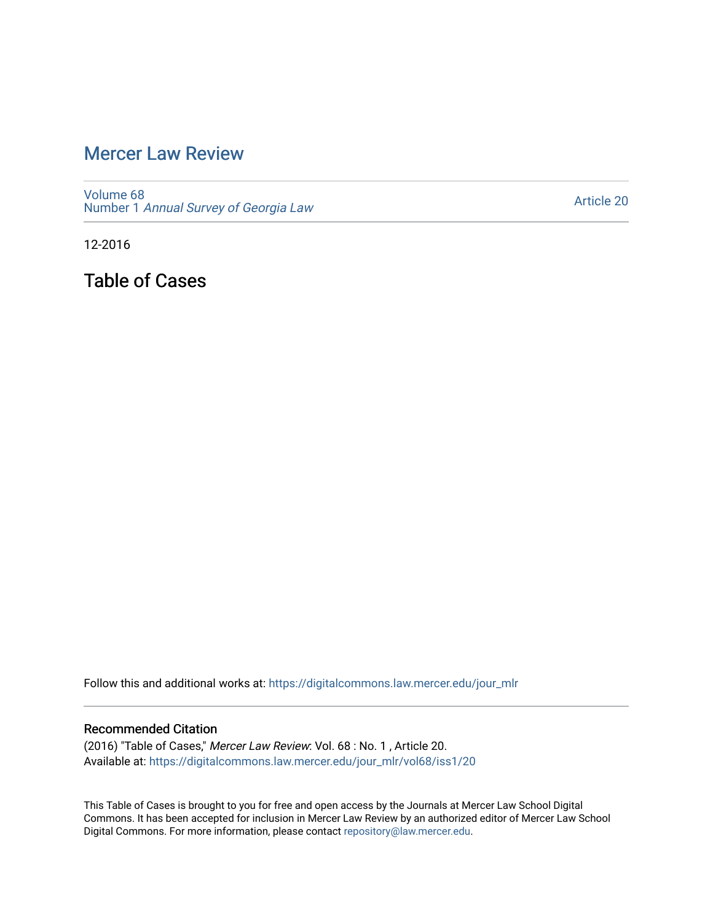# [Mercer Law Review](https://digitalcommons.law.mercer.edu/jour_mlr)

[Volume 68](https://digitalcommons.law.mercer.edu/jour_mlr/vol68) Number 1 [Annual Survey of Georgia Law](https://digitalcommons.law.mercer.edu/jour_mlr/vol68/iss1) 

[Article 20](https://digitalcommons.law.mercer.edu/jour_mlr/vol68/iss1/20) 

12-2016

Table of Cases

Follow this and additional works at: [https://digitalcommons.law.mercer.edu/jour\\_mlr](https://digitalcommons.law.mercer.edu/jour_mlr?utm_source=digitalcommons.law.mercer.edu%2Fjour_mlr%2Fvol68%2Fiss1%2F20&utm_medium=PDF&utm_campaign=PDFCoverPages)

#### Recommended Citation

(2016) "Table of Cases," Mercer Law Review: Vol. 68 : No. 1 , Article 20. Available at: [https://digitalcommons.law.mercer.edu/jour\\_mlr/vol68/iss1/20](https://digitalcommons.law.mercer.edu/jour_mlr/vol68/iss1/20?utm_source=digitalcommons.law.mercer.edu%2Fjour_mlr%2Fvol68%2Fiss1%2F20&utm_medium=PDF&utm_campaign=PDFCoverPages) 

This Table of Cases is brought to you for free and open access by the Journals at Mercer Law School Digital Commons. It has been accepted for inclusion in Mercer Law Review by an authorized editor of Mercer Law School Digital Commons. For more information, please contact [repository@law.mercer.edu](mailto:repository@law.mercer.edu).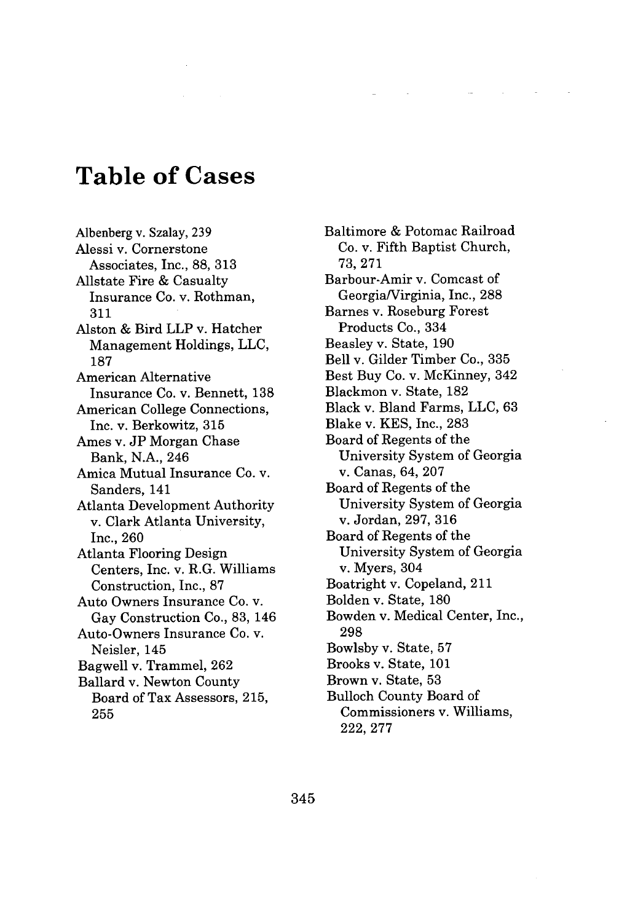# **Table of Cases**

Albenberg v. Szalay, **239** Alessi v. Cornerstone Associates, Inc., **88, 313** Allstate Fire **&** Casualty Insurance Co. v. Rothman, **311** Alston **&** Bird LLP v. Hatcher Management Holdings, **LLC, 187** American Alternative Insurance Co. v. Bennett, **138** American College Connections, Inc. v. Berkowitz, **315** Ames v. **JP** Morgan Chase Bank, **N.A.,** 246 Amica Mutual Insurance Co. v. Sanders, 141 Atlanta Development Authority v. Clark Atlanta University, Inc., **260** Atlanta Flooring Design Centers, Inc. v. R.G. Williams Construction, Inc., **87** Auto Owners Insurance Co. v. Gay Construction Co., **83,** 146 Auto-Owners Insurance Co. v. Neisler, 145 Bagwell v. Trammel, **262** Ballard v. Newton County Board of Tax Assessors, **215, 255**

Baltimore **&** Potomac Railroad Co. v. Fifth Baptist Church, **73, 271** Barbour-Amir v. Comcast of Georgia/Virginia, Inc., **288** Barnes v. Roseburg Forest Products Co., 334 Beasley v. State, **190** Bell v. Gilder Timber Co., **335** Best Buy Co. v. McKinney, 342 Blackmon v. State, **182** Black v. Bland Farms, **LLC, 63** Blake v. **KES,** Inc., **283** Board of Regents of the University System of Georgia v. Canas, 64, **207** Board of Regents of the University System of Georgia v. Jordan, **297, 316** Board of Regents of the University System of Georgia v. Myers, 304 Boatright v. Copeland, 211 Bolden v. State, **180** Bowden v. Medical Center, Inc., **298** Bowlsby v. State, **57** Brooks v. State, **101** Brown v. State, **53** Bulloch County Board of Commissioners v. Williams, **222, 277**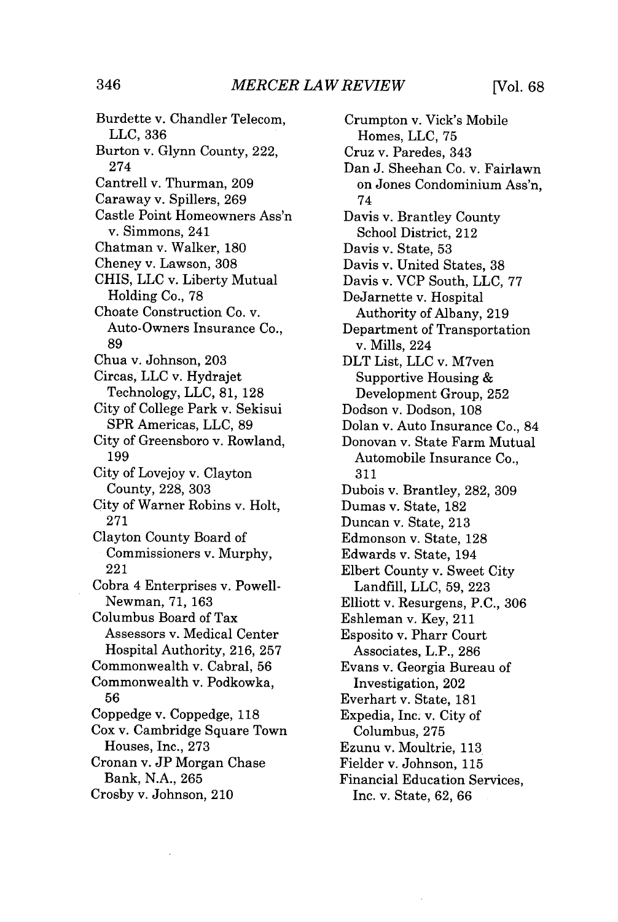Burdette v. Chandler Telecom, **LLC, 336** Burton v. Glynn County, 222, 274 Cantrell v. Thurman, **209** Caraway v. Spillers, **269** Castle Point Homeowners Ass'n v. Simmons, 241 Chatman v. Walker, **180** Cheney v. Lawson, **308** CHIS, **LLC** v. Liberty Mutual Holding Co., **78** Choate Construction Co. v. Auto-Owners Insurance Co., **89** Chua v. Johnson, **203** Circas, **LLC** v. Hydrajet Technology, **LLC, 81, 128** City of College Park v. Sekisui SPR Americas, **LLC, 89** City of Greensboro v. Rowland, **199** City of Lovejoy v. Clayton County, **228, 303** City of Warner Robins v. Holt, **271** Clayton County Board of Commissioners v. Murphy, 221 Cobra 4 Enterprises v. Powell-Newman, **71, 163** Columbus Board of Tax Assessors v. Medical Center Hospital Authority, **216, 257** Commonwealth v. Cabral, **56** Commonwealth v. Podkowka, **56** Coppedge v. Coppedge, **118** Cox v. Cambridge Square Town Houses, Inc., **273** Cronan v. **JP** Morgan Chase Bank, **N.A., 265** Crosby v. Johnson, 210

Crumpton v. Vick's Mobile Homes, **LLC, 75** Cruz v. Paredes, 343 Dan **J.** Sheehan Co. v. Fairlawn on Jones Condominium Ass'n, 74 Davis v. Brantley County School District, 212 Davis v. State, **53** Davis v. United States, **38** Davis v. VCP South, **LLC, 77** DeJarnette v. Hospital Authority of Albany, **219** Department of Transportation v. Mills, 224 DLT List, **LLC** v. M7ven Supportive Housing & Development Group, **252** Dodson v. Dodson, **108** Dolan v. Auto Insurance Co., 84 Donovan v. State Farm Mutual Automobile Insurance Co., **311** Dubois v. Brantley, **282, 309** Dumas v. State, **182** Duncan v. State, **213** Edmonson v. State, **128** Edwards v. State, 194 Elbert County v. Sweet City Landfill, **LLC, 59, 223** Elliott v. Resurgens, **P.C., 306** Eshleman v. Key, 211 Esposito v. Pharr Court Associates, L.P., **286** Evans v. Georgia Bureau of Investigation, 202 Everhart v. State, **181** Expedia, Inc. v. City of Columbus, **275** Ezunu v. Moultrie, **113** Fielder v. Johnson, **115** Financial Education Services, Inc. v. State, **62, 66**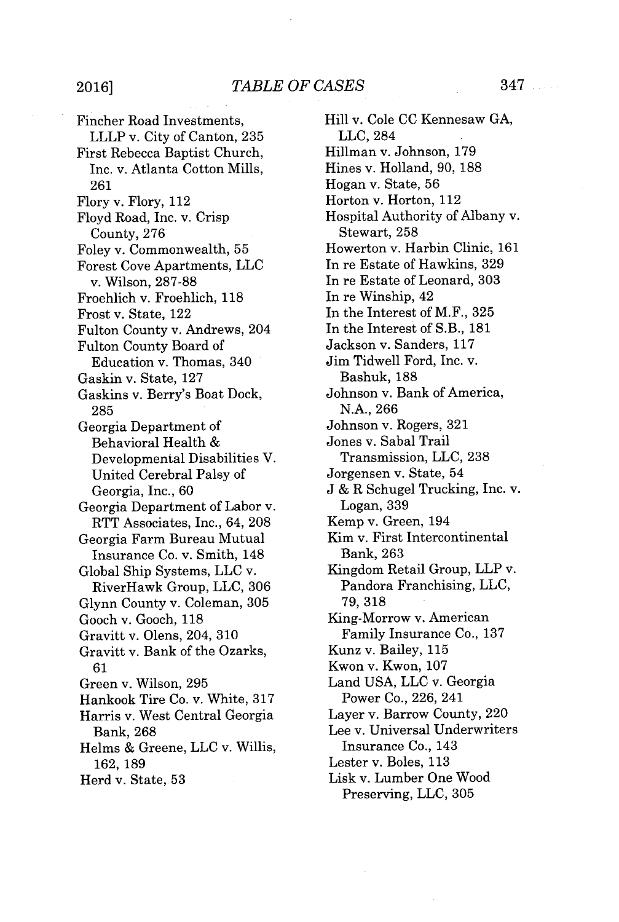## *TABLE OF CASES* **2016]** 347

Fincher Road Investments, LLLP v. City of Canton, **235** First Rebecca Baptist Church, Inc. v. Atlanta Cotton Mills, **261** Flory v. Flory, **112** Floyd Road, Inc. v. Crisp County, **276** Foley v. Commonwealth, **55** Forest Cove Apartments, **LLC** v. Wilson, **287-88** Froehlich v. Froehlich, **118** Frost v. State, 122 Fulton County v. Andrews, 204 Fulton County Board of Education v. Thomas, 340 Gaskin v. State, **127** Gaskins v. Berry's Boat Dock, **285** Georgia Department of Behavioral Health Developmental Disabilities V. United Cerebral Palsy of Georgia, Inc., **60** Georgia Department of Labor v. RTT Associates, Inc., 64, **208** Georgia Farm Bureau Mutual Insurance Co. v. Smith, 148 Global Ship Systems, **LLC** v. RiverHawk Group, **LLC, 306** Glynn County v. Coleman, **305** Gooch v. Gooch, **118** Gravitt v. Olens, 204, **310** Gravitt v. Bank of the Ozarks, **61** Green v. Wilson, **295** Hankook Tire Co. v. White, **317** Harris v. West Central Georgia Bank, 268 Helms **&** Greene, **LLC** v. Willis, **162, 189**

Herd v. State, **53**

Hill v. Cole **CC** Kennesaw **GA, LLC,** 284 Hillman v. Johnson, **179** Hines v. Holland, **90, 188** Hogan v. State, **56** Horton v. Horton, 112 Hospital Authority of Albany v. Stewart, **258** Howerton v. Harbin Clinic, **161** In re Estate of Hawkins, **329** In re Estate of Leonard, **303** In re Winship, 42 In the Interest of M.F., **325** In the Interest of S.B., **181** Jackson v. Sanders, **117** Jim Tidwell Ford, Inc. v. Bashuk, 188 Johnson v. Bank of America, **N.A., 266** Johnson v. Rogers, **321** Jones v. Sabal Trail Transmission, **LLC, 238** Jorgensen v. State, 54 **J &** R Schugel Trucking, Inc. v. Logan, 339 Kemp v. Green, 194 Kim v. First Intercontinental Bank, 263 Kingdom Retail Group, LLP v. Pandora Franchising, **LLC, 79, 318** King-Morrow v. American Family Insurance Co., **137** Kunz v. Bailey, **115** Kwon v. Kwon, **107** Land **USA, LLC** v. Georgia Power Co., **226,** 241 Layer v. Barrow County, 220 Lee v. Universal Underwriters Insurance Co., 143 Lester v. Boles, **113** Lisk v. Lumber One Wood Preserving, **LLC, 305**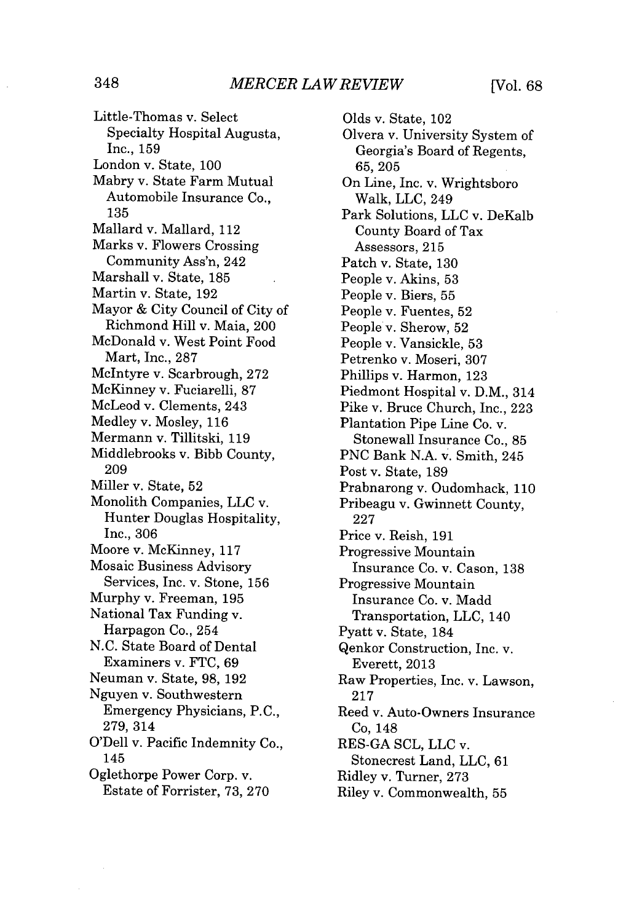Little-Thomas v. Select Specialty Hospital Augusta, Inc., **159** London v. State, **100** Mabry v. State Farm Mutual Automobile Insurance Co., **135** Mallard v. Mallard, 112 Marks v. Flowers Crossing Community Ass'n, 242 Marshall v. State, **185** Martin v. State, **192** Mayor **&** City Council of City of Richmond Hill v. Maia, 200 McDonald v. West Point Food Mart, Inc., **287** McIntyre v. Scarbrough, **272** McKinney v. Fuciarelli, **87** McLeod v. Clements, 243 Medley v. Mosley, **116** Mermann v. Tillitski, **119** Middlebrooks v. Bibb County, **209** Miller v. State, **52** Monolith Companies, **LLC** v. Hunter Douglas Hospitality, Inc., **306** Moore v. McKinney, **117** Mosaic Business Advisory Services, Inc. v. Stone, **156** Murphy v. Freeman, **195** National Tax Funding v. Harpagon Co., 254 **N.C.** State Board of Dental Examiners v. **FTC, 69** Neuman v. State, **98, 192** Nguyen v. Southwestern Emergency Physicians, **P.C., 279, 314** O'Dell v. Pacific Indemnity Co., 145 Oglethorpe Power Corp. v. Estate of Forrister, **73, 270**

Olds v. State, 102 Olvera v. University System of Georgia's Board of Regents, **65, 205** On Line, Inc. v. Wrightsboro Walk, **LLC,** 249 Park Solutions, **LLC** v. DeKalb County Board of Tax Assessors, **215** Patch v. State, **130** People v. Akins, **53** People v. Biers, **55** People v. Fuentes, **52** People v. Sherow, **52** People v. Vansickle, **53** Petrenko v. Moseri, **307** Phillips v. Harmon, **123** Piedmont Hospital v. D.M., 314 Pike v. Bruce Church, Inc., **223** Plantation Pipe Line Co. v. Stonewall Insurance Co., **85 PNC** Bank **N.A.** v. Smith, 245 Post v. State, **189** Prabnarong v. Oudomhack, **110** Pribeagu v. Gwinnett County, **227** Price v. Reish, **191** Progressive Mountain Insurance Co. v. Cason, **138** Progressive Mountain Insurance Co. v. Madd Transportation, **LLC,** 140 Pyatt v. State, 184 Qenkor Construction, Inc. v. Everett, **2013** Raw Properties, Inc. v. Lawson, **217** Reed v. Auto-Owners Insurance Co, 148 **RES-GA SCL, LLC** v. Stonecrest Land, **LLC, 61** Ridley v. Turner, **273** Riley v. Commonwealth, **55**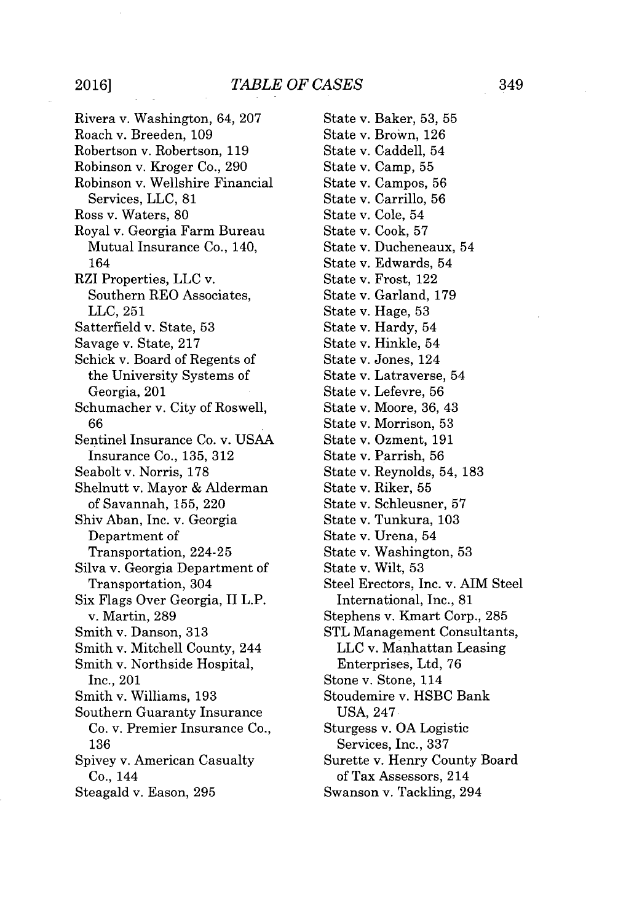Rivera v. Washington, 64, **207** Roach v. Breeden, **109** Robertson v. Robertson, **119** Robinson v. Kroger Co., **290** Robinson v. Wellshire Financial Services, **LLC, 81** Ross v. Waters, **80** Royal v. Georgia Farm Bureau Mutual Insurance Co., 140, 164 RZI Properties, **LLC** v. Southern REO Associates, **LLC, 251** Satterfield v. State, **53** Savage v. State, **217** Schick v. Board of Regents of the University Systems of Georgia, 201 Schumacher v. City of Roswell, **66** Sentinel Insurance Co. v. **USAA** Insurance Co., **135, 312** Seabolt v. Norris, **178** Shelnutt v. Mayor **&** Alderman of Savannah, 155, 220 Shiv Aban, Inc. v. Georgia Department of Transportation, 224-25 Silva v. Georgia Department of Transportation, 304 Six Flags Over Georgia, II L.P. v. Martin, **289** Smith v. Danson, **313** Smith v. Mitchell County, 244 Smith v. Northside Hospital, Inc., 201 Smith v. Williams, **193** Southern Guaranty Insurance Co. v. Premier Insurance Co., **136** Spivey v. American Casualty Co., 144 Steagald v. Eason, **295**

State v. Baker, **53, 55** State v. Brown, **126** State v. Caddell, 54 State v. Camp, **55** State v. Campos, **56** State v. Carrillo, **56** State v. Cole, 54 State v. Cook, **57** State v. Ducheneaux, 54 State v. Edwards, 54 State v. Frost, 122 State v. Garland, **179** State v. Hage, **53** State v. Hardy, 54 State v. Hinkle, 54 State v. Jones, 124 State v. Latraverse, 54 State v. Lefevre, **56** State v. Moore, **36,** 43 State v. Morrison, **53** State v. Ozment, **191** State v. Parrish, **56** State v. Reynolds, 54, **183** State v. Riker, **55** State v. Schleusner, **57** State v. Tunkura, **103** State v. Urena, 54 State v. Washington, **53** State v. Wilt, **53** Steel Erectors, Inc. v. AIM Steel International, Inc., **81** Stephens v. Kmart Corp., **285 STL** Management Consultants, **LLC** v. Manhattan Leasing Enterprises, Ltd, **76** Stone v. Stone, 114 Stoudemire v. **HSBC** Bank **USA,** 247 Sturgess v. **OA** Logistic Services, Inc., **337** Surette v. Henry County Board of Tax Assessors, 214 Swanson v. Tackling, 294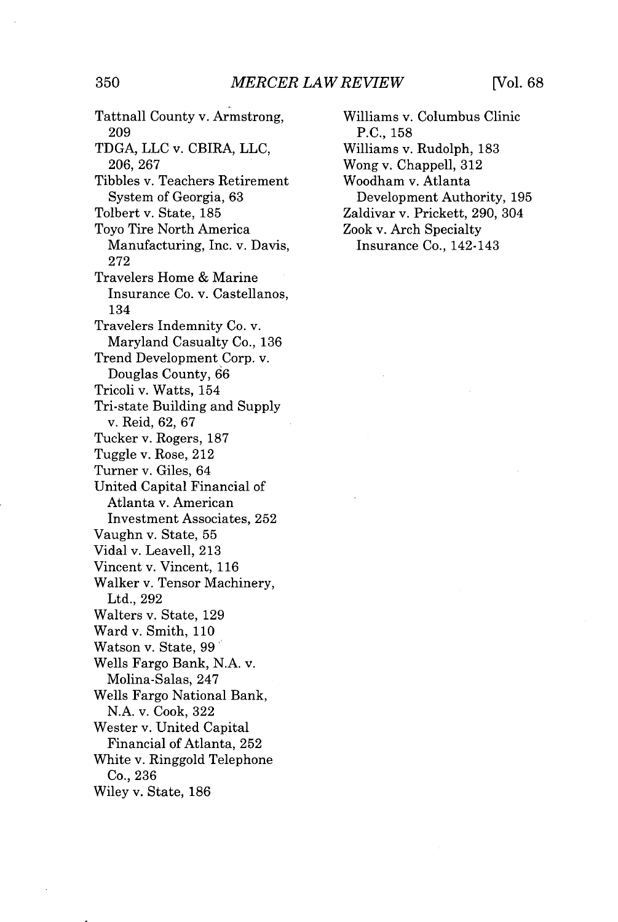Tattnall County v. Armstrong, **209 TDGA, LLC** v. CBIRA, **LLC, 206, 267** Tibbles v. Teachers Retirement System of Georgia, **63** Tolbert v. State, **185** Toyo Tire North America Manufacturing, Inc. v. Davis, **272** Travelers Home **&** Marine Insurance Co. v. Castellanos, 134 Travelers Indemnity Co. v. Maryland Casualty Co., **136** Trend Development Corp. v. Douglas County, **66** Tricoli v. Watts, 154 Tri-state Building and Supply v. Reid, **62, 67** Tucker v. Rogers, **187** Tuggle v. Rose, 212 Turner v. Giles, 64 United Capital Financial of Atlanta v. American Investment Associates, **252** Vaughn v. State, **55** Vidal v. Leavell, **213** Vincent v. Vincent, **116** Walker v. Tensor Machinery, Ltd., **292** Walters v. State, **129** Ward v. Smith, **110** Watson v. State, **99** Wells Fargo Bank, **N.A.** v. Molina-Salas, 247 Wells Fargo National Bank, **N.A.** v. Cook, **322** Wester v. United Capital Financial of Atlanta, **252** White v. Ringgold Telephone Co., **236** Wiley v. State, **186**

Williams v. Columbus Clinic **P.C., 158** Williams v. Rudolph, **183** Wong v. Chappell, **312** Woodham v. Atlanta Development Authority, **195** Zaldivar v. Prickett, **290,** 304 Zook v. Arch Specialty Insurance Co., 142-143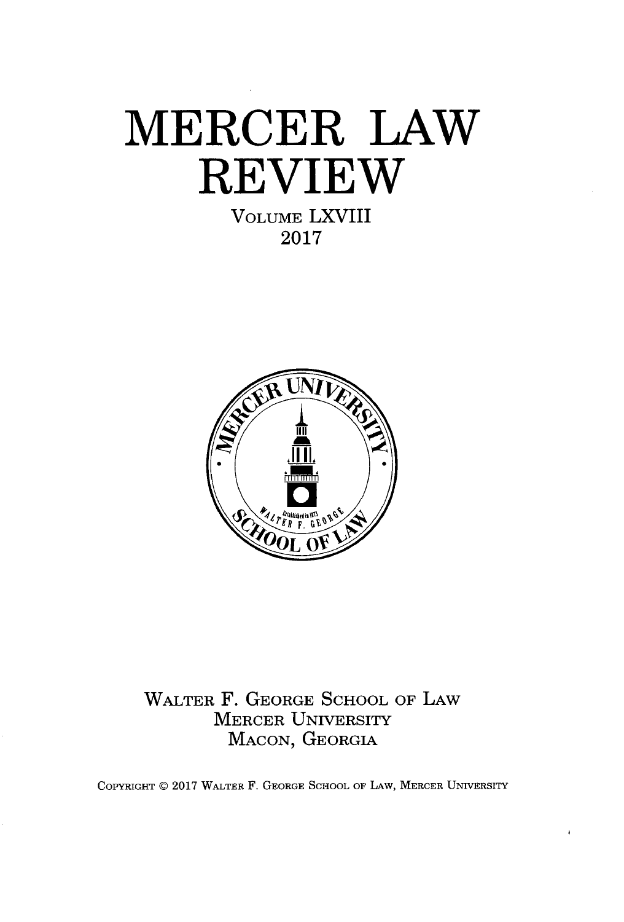# **MERCER LAW REVIEW VOLUME** LXVIII

**2017**



WALTER F. **GEORGE SCHOOL** OF LAW MERCER UNIVERSITY **MACON, GEORGIA**

COPYRIGHT @ **2017** WALTER F. **GEORGE SCHOOL** OF LAW, MERCER **UNIVERSITY**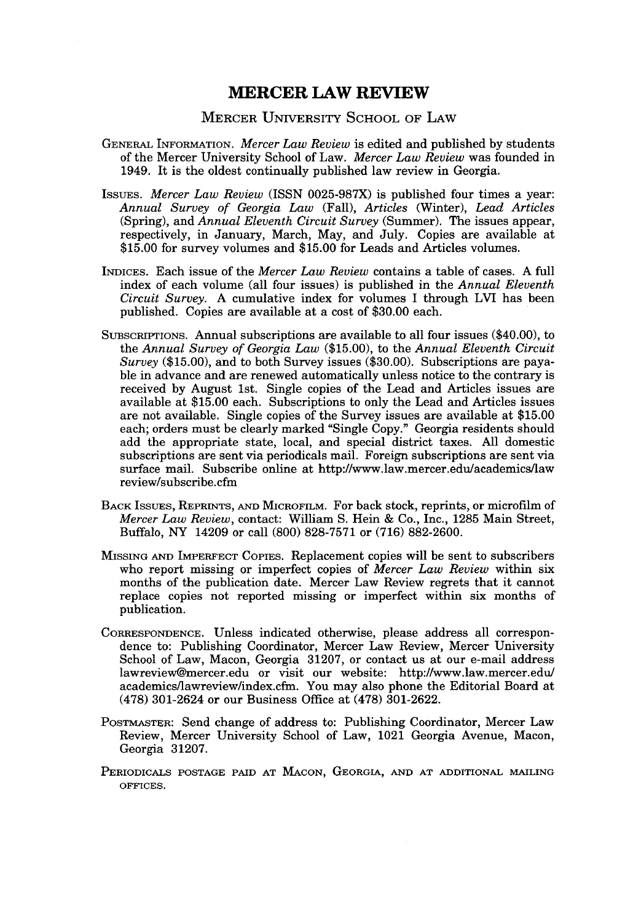## **MERCER LAW REVIEW**

#### MERCER UNIVERSITY **SCHOOL** OF LAW

- **GENERAL** INFORMATION. *Mercer Law Review* is edited and published **by** students of the Mercer University School of Law. *Mercer Law Review* was founded in 1949. It is the oldest continually published law review in Georgia.
- IssuEs. *Mercer Law Review* (ISSN **0025-987X)** is published four times a year: *Annual Survey of Georgia Law (Fall), Articles* (Winter), *Lead Articles* (Spring), and *Annual Eleventh Circuit Survey* (Summer). The issues appear, respectively, in January, March, May, and July. Copies are available at **\$15.00** for survey volumes and **\$15.00** for Leads and Articles volumes.
- INDICES. Each issue of the *Mercer Law Review* contains a table of cases. **A** full index of each volume (all four issues) is published in the *Annual Eleventh Circuit Survey.* **A** cumulative index for volumes I through LVI has been published. Copies are available at a cost of **\$30.00** each.
- SUBSCRIPTIONs. Annual subscriptions are available to all four issues (\$40.00), to the *Annual Survey of Georgia Law* **(\$15.00),** to the *Annual Eleventh Circuit Survey* **(\$15.00),** and to both Survey issues **(\$30.00).** Subscriptions are payable in advance and are renewed automatically unless notice to the contrary is received **by** August 1st. Single copies of the Lead and Articles issues are available at **\$15.00** each. Subscriptions to only the Lead and Articles issues are not available. Single copies of the Survey issues are available at **\$15.00** each; orders must be clearly marked "Single Copy." Georgia residents should add the appropriate state, local, and special district taxes. **All** domestic subscriptions are sent via periodicals mail. Foreign subscriptions are sent via surface mail. Subscribe online at http://www.law.mercer.edulacademics/law review/subscribe.cfm
- BACK ISSuEs, REPRINTS, **AND MICROFILM.** For back stock, reprints, or microfilm of *Mercer Law Review,* contact: William **S.** Hein **&** Co., Inc., **1285** Main Street, Buffalo, NY 14209 or call **(800) 828-7571** or **(716) 882-2600.**
- **MISSING AND IMPERFECT** COPIES. Replacement copies will be sent to subscribers who report missing or imperfect copies of *Mercer Law Review* within six months of the publication date. Mercer Law Review regrets that it cannot replace copies not reported missing or imperfect within six months of publication.
- **CORRESPONDENCE.** Unless indicated otherwise, please address all correspondence to: Publishing Coordinator, Mercer Law Review, Mercer University School of Law, Macon, Georgia **31207,** or contact us at our e-mail address lawreview@mercer.edu or visit our website: http://www.law.mercer.edu/ academics/lawreview/index.cfm. You may also phone the Editorial Board at **(478)** 301-2624 or our Business Office at **(478) 301-2622.**
- **POSTMASTER:** Send change of address to: Publishing Coordinator, Mercer Law Review, Mercer University School of Law, 1021 Georgia Avenue, Macon, Georgia **31207.**
- **PERIODICALS POSTAGE PAID AT MACON, GEORGIA, AND AT ADDITIONAL MAILING OFFICES.**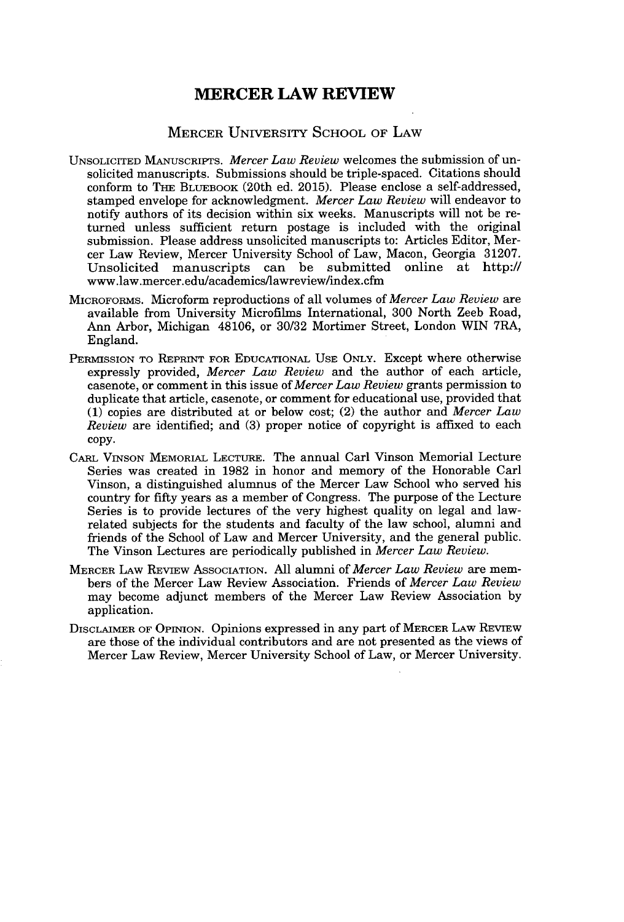## **MERCER LAW REVIEW**

## MERCER UNIVERSITY **SCHOOL** OF LAW

- UNSOLICITED MANUSCRIPTS. *Mercer Law Review* welcomes the submission of unsolicited manuscripts. Submissions should be triple-spaced. Citations should conform to **THE BLUEBOOK** (20th ed. **2015).** Please enclose a self-addressed, stamped envelope for acknowledgment. *Mercer Law Review* will endeavor to notify authors of its decision within six weeks. Manuscripts will not be returned unless sufficient return postage is included with the original submission. Please address unsolicited manuscripts to: Articles Editor, Mercer Law Review, Mercer University School of Law, Macon, Georgia **31207.** Unsolicited manuscripts can be submitted online at http:// www.law.mercer.edulacademics/lawreview/index.cfm
- **MICROFORMS.** Microform reproductions of all volumes of *Mercer Law Review* are available from University Microfilms International, **300** North Zeeb Road, Ann Arbor, Michigan 48106, or **30/32** Mortimer Street, London WIN 7RA, England.
- **PERMISSION TO REPRINT FOR EDUCATIONAL USE ONLY.** Except where otherwise expressly provided, *Mercer Law Review* and the author of each article, casenote, or comment in this issue of *Mercer Law Review* grants permission to duplicate that article, casenote, or comment for educational use, provided that **(1)** copies are distributed at or below cost; (2) the author and *Mercer Law Review* are identified; and **(3)** proper notice of copyright is affixed to each **copy.**
- CARL **VINSON MEMORIAL LECTURE.** The annual Carl Vinson Memorial Lecture Series was created in **1982** in honor and memory of the Honorable Carl Vinson, a distinguished alumnus of the Mercer Law School who served his country for **fifty** years as a member of Congress. The purpose of the Lecture Series is to provide lectures of the very highest quality on legal and lawrelated subjects for the students and faculty of the law school, alumni and friends of the School of Law and Mercer University, and the general public. The Vinson Lectures are periodically published in *Mercer Law Review.*
- **MERCER** LAw **REVIEw ASSOCIATION. All** alumni of *Mercer Law Review* are members of the Mercer Law Review Association. Friends of *Mercer Law Review* may become adjunct members of the Mercer Law Review Association **by** application.
- **DISCLAIMER OF OPINION.** Opinions expressed in any part **of MERCER** LAw REvIEw are those of the individual contributors and are not presented as the views of Mercer Law Review, Mercer University School of Law, or Mercer University.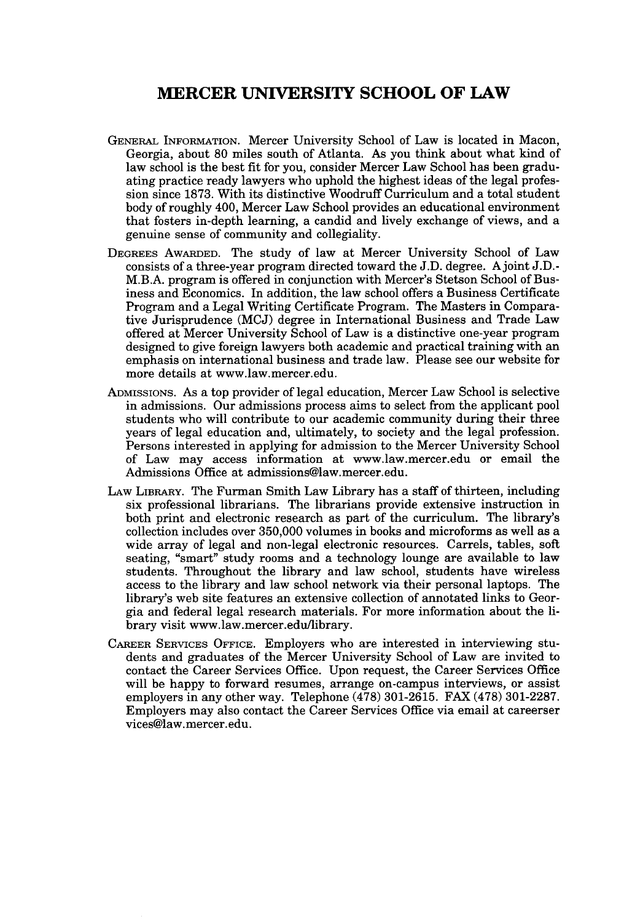## **MERCER UNIVERSITY SCHOOL OF LAW**

- **GENERAL** INFORMATION. Mercer University School of Law is located in Macon, Georgia, about **80** miles south of Atlanta. As you think about what kind of law school is the best fit for you, consider Mercer Law School has been graduating practice ready lawyers who uphold the highest ideas of the legal profession since **1873.** With its distinctive Woodruff Curriculum and a total student body of roughly 400, Mercer Law School provides an educational environment that fosters in-depth learning, a candid and lively exchange of views, and a genuine sense of community and collegiality.
- DEGREES AWARDED. The study of law at Mercer University School of Law consists of a three-year program directed toward the **J.D.** degree. Ajoint **J.D.-** M.B.A. program is offered in conjunction with Mercer's Stetson School of Business and Economics. In addition, the law school offers a Business Certificate Program and a Legal Writing Certificate Program. The Masters in Comparative Jurisprudence **(MCJ)** degree in International Business and Trade Law offered at Mercer University School of Law is a distinctive one-year program designed to give foreign lawyers both academic and practical training with an emphasis on international business and trade law. Please see our website for more details at www.law.mercer.edu.
- ADMISSIONS. As a top provider of legal education, Mercer Law School is selective in admissions. Our admissions process aims to select from the applicant pool students who will contribute to our academic community during their three years of legal education and, ultimately, to society and the legal profession. Persons interested in applying for admission to the Mercer University School of Law may access information at www.law.mercer.edu or email the Admissions Office at admissions@law.mercer.edu.
- LAW LIBRARY. The Furman Smith Law Library has a staff of thirteen, including six professional librarians. The librarians provide extensive instruction in both print and electronic research as part of the curriculum. The library's collection includes over **350,000** volumes in books and microforms as well as a wide array of legal and non-legal electronic resources. Carrels, tables, soft seating, "smart" study rooms and a technology lounge are available to law students. Throughout the library and law school, students have wireless access to the library and law school network via their personal laptops. The library's web site features an extensive collection of annotated links to Georgia and federal legal research materials. For more information about the library visit www.law.mercer.edu/library.
- CAREER SERVICES OFFICE. Employers who are interested in interviewing students and graduates of the Mercer University School of Law are invited to contact the Career Services Office. Upon request, the Career Services Office will be happy to forward resumes, arrange on-campus interviews, or assist employers in any other way. Telephone **(478) 301-2615.** FAX **(478) 301-2287.** Employers may also contact the Career Services Office via email at careerser vices@law.mercer.edu.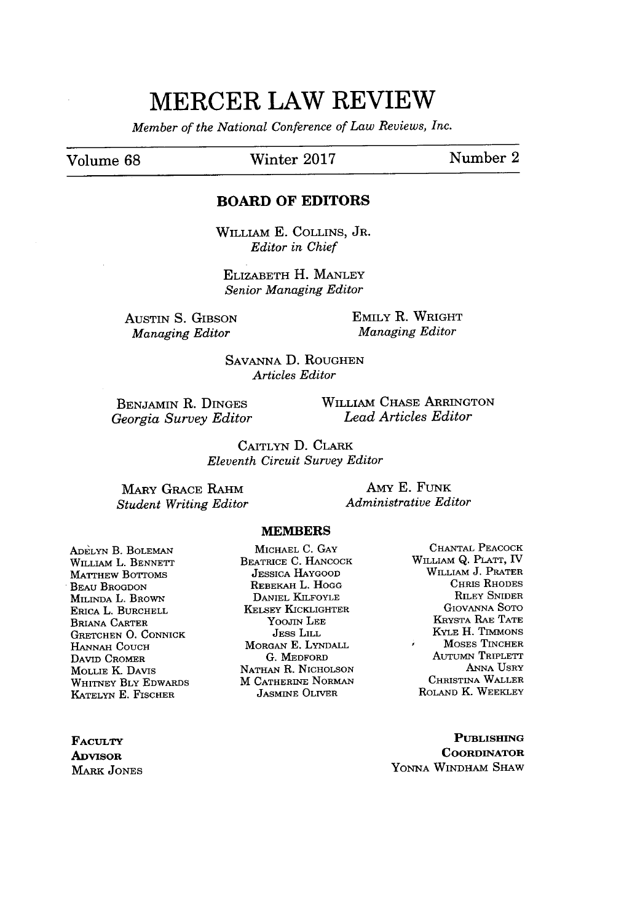# **MERCER LAW REVIEW**

*Member of the National Conference of Law Reviews, Inc.*

## Volume **68** Winter **2017** Number 2

#### **BOARD OF EDITORS**

WILLIAM **E.** COLLINS, JR. *Editor in Chief*

ELIZABETH H. **MANLEY** *Senior Managing Editor*

AuSTIN **S.** GIBSON *Managing Editor*

EMILY R. WRIGHT *Managing Editor*

**SAVANNA D.** ROUGHEN *Articles Editor*

**BENJAMIN** R. DINGEs *Georgia Survey Editor* WILLIAM **CHASE** ARRINGTON *Lead Articles Editor*

CAITLYN **D.** CLARK *Eleventh Circuit Survey Editor*

MARY **GRACE** RAHM *Student Writing Editor*

Amy **E. FUNK** *Administrative Editor*

#### **MEMBERS**

**ADELYN** B. **BOLEMAN** WILLIAM L. BENNETT MATTHEW BoTToMS BEAU BROGDON MILINDA L. BROWN ERICA L. BURCHELL BRIANA CARTER **GRETCHEN 0. CONNICK HANNAH COUCH DAVID CROMER** MOLLIE K. DAVIS WHITNEY BLY EDWARDS **KATELYN E.** FISCHER

MICHAEL **C. GAY** BEATRICE **C. HANCOCK JESSICA** HAYGOOD REBEKAH L. **HOGG** DANIEL KILFOYLE KELSEY KICKLIGHTER YooJIN **LEE** JEsS LILL MORGAN **E. LYNDALL G.** MEDFORD **NATHAN** R. **NICHOLSON** M CATHERINE **NORMAN JASMINE** OLIVER

**CHANTAL PEACOCK** WILLIAM **Q.** PLATT, IV WILLIAM **J.** PRATER CHRIS RHODES RILEY SNIDER GIOVANNA Soro KRYSTA RAE **TATE** KYLE H. TIMMONS MOSES TINCHER ÿ. AUTuMN TRIPLETT **ANNA** USRY CHRISTINA WALLER ROLAND K. WEEKLEY

**PUBLISHING COORDINATOR YONNA WINDHAM** SHAW

**FACULTY ADVISOR** MARK **JONES**